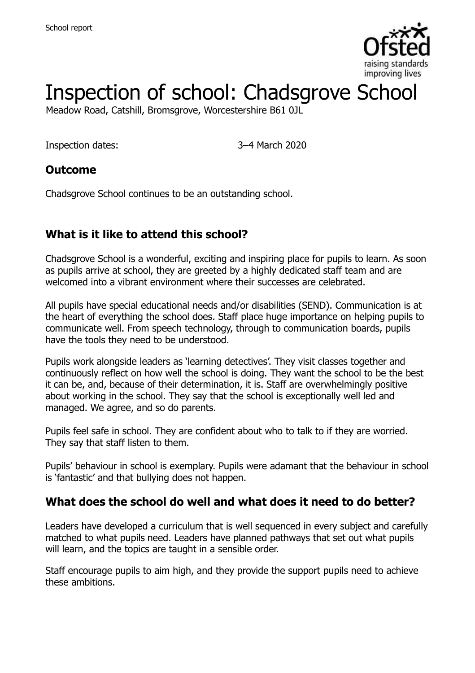

# Inspection of school: Chadsgrove School

Meadow Road, Catshill, Bromsgrove, Worcestershire B61 0JL

Inspection dates: 3–4 March 2020

#### **Outcome**

Chadsgrove School continues to be an outstanding school.

# **What is it like to attend this school?**

Chadsgrove School is a wonderful, exciting and inspiring place for pupils to learn. As soon as pupils arrive at school, they are greeted by a highly dedicated staff team and are welcomed into a vibrant environment where their successes are celebrated.

All pupils have special educational needs and/or disabilities (SEND). Communication is at the heart of everything the school does. Staff place huge importance on helping pupils to communicate well. From speech technology, through to communication boards, pupils have the tools they need to be understood.

Pupils work alongside leaders as 'learning detectives'. They visit classes together and continuously reflect on how well the school is doing. They want the school to be the best it can be, and, because of their determination, it is. Staff are overwhelmingly positive about working in the school. They say that the school is exceptionally well led and managed. We agree, and so do parents.

Pupils feel safe in school. They are confident about who to talk to if they are worried. They say that staff listen to them.

Pupils' behaviour in school is exemplary. Pupils were adamant that the behaviour in school is 'fantastic' and that bullying does not happen.

#### **What does the school do well and what does it need to do better?**

Leaders have developed a curriculum that is well sequenced in every subject and carefully matched to what pupils need. Leaders have planned pathways that set out what pupils will learn, and the topics are taught in a sensible order.

Staff encourage pupils to aim high, and they provide the support pupils need to achieve these ambitions.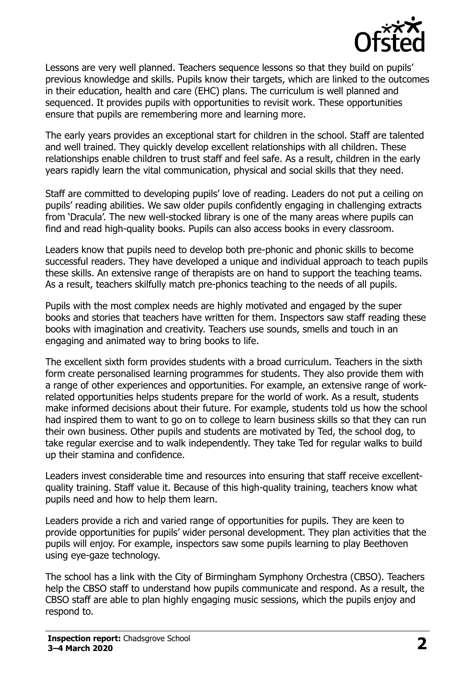

Lessons are very well planned. Teachers sequence lessons so that they build on pupils' previous knowledge and skills. Pupils know their targets, which are linked to the outcomes in their education, health and care (EHC) plans. The curriculum is well planned and sequenced. It provides pupils with opportunities to revisit work. These opportunities ensure that pupils are remembering more and learning more.

The early years provides an exceptional start for children in the school. Staff are talented and well trained. They quickly develop excellent relationships with all children. These relationships enable children to trust staff and feel safe. As a result, children in the early years rapidly learn the vital communication, physical and social skills that they need.

Staff are committed to developing pupils' love of reading. Leaders do not put a ceiling on pupils' reading abilities. We saw older pupils confidently engaging in challenging extracts from 'Dracula'. The new well-stocked library is one of the many areas where pupils can find and read high-quality books. Pupils can also access books in every classroom.

Leaders know that pupils need to develop both pre-phonic and phonic skills to become successful readers. They have developed a unique and individual approach to teach pupils these skills. An extensive range of therapists are on hand to support the teaching teams. As a result, teachers skilfully match pre-phonics teaching to the needs of all pupils.

Pupils with the most complex needs are highly motivated and engaged by the super books and stories that teachers have written for them. Inspectors saw staff reading these books with imagination and creativity. Teachers use sounds, smells and touch in an engaging and animated way to bring books to life.

The excellent sixth form provides students with a broad curriculum. Teachers in the sixth form create personalised learning programmes for students. They also provide them with a range of other experiences and opportunities. For example, an extensive range of workrelated opportunities helps students prepare for the world of work. As a result, students make informed decisions about their future. For example, students told us how the school had inspired them to want to go on to college to learn business skills so that they can run their own business. Other pupils and students are motivated by Ted, the school dog, to take regular exercise and to walk independently. They take Ted for regular walks to build up their stamina and confidence.

Leaders invest considerable time and resources into ensuring that staff receive excellentquality training. Staff value it. Because of this high-quality training, teachers know what pupils need and how to help them learn.

Leaders provide a rich and varied range of opportunities for pupils. They are keen to provide opportunities for pupils' wider personal development. They plan activities that the pupils will enjoy. For example, inspectors saw some pupils learning to play Beethoven using eye-gaze technology.

The school has a link with the City of Birmingham Symphony Orchestra (CBSO). Teachers help the CBSO staff to understand how pupils communicate and respond. As a result, the CBSO staff are able to plan highly engaging music sessions, which the pupils enjoy and respond to.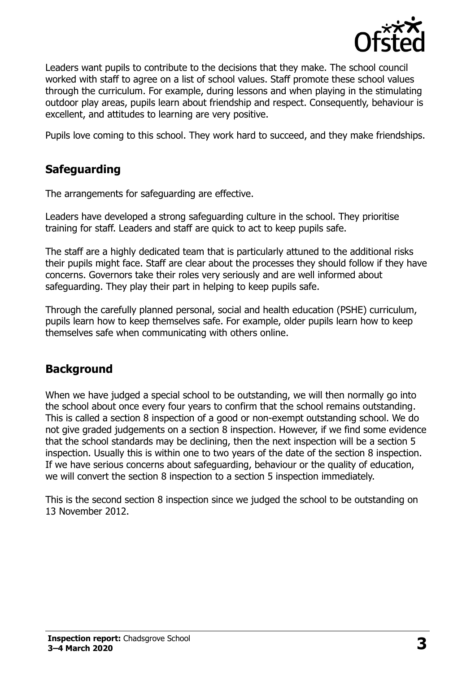

Leaders want pupils to contribute to the decisions that they make. The school council worked with staff to agree on a list of school values. Staff promote these school values through the curriculum. For example, during lessons and when playing in the stimulating outdoor play areas, pupils learn about friendship and respect. Consequently, behaviour is excellent, and attitudes to learning are very positive.

Pupils love coming to this school. They work hard to succeed, and they make friendships.

# **Safeguarding**

The arrangements for safeguarding are effective.

Leaders have developed a strong safeguarding culture in the school. They prioritise training for staff. Leaders and staff are quick to act to keep pupils safe.

The staff are a highly dedicated team that is particularly attuned to the additional risks their pupils might face. Staff are clear about the processes they should follow if they have concerns. Governors take their roles very seriously and are well informed about safeguarding. They play their part in helping to keep pupils safe.

Through the carefully planned personal, social and health education (PSHE) curriculum, pupils learn how to keep themselves safe. For example, older pupils learn how to keep themselves safe when communicating with others online.

# **Background**

When we have judged a special school to be outstanding, we will then normally go into the school about once every four years to confirm that the school remains outstanding. This is called a section 8 inspection of a good or non-exempt outstanding school. We do not give graded judgements on a section 8 inspection. However, if we find some evidence that the school standards may be declining, then the next inspection will be a section 5 inspection. Usually this is within one to two years of the date of the section 8 inspection. If we have serious concerns about safeguarding, behaviour or the quality of education, we will convert the section 8 inspection to a section 5 inspection immediately.

This is the second section 8 inspection since we judged the school to be outstanding on 13 November 2012.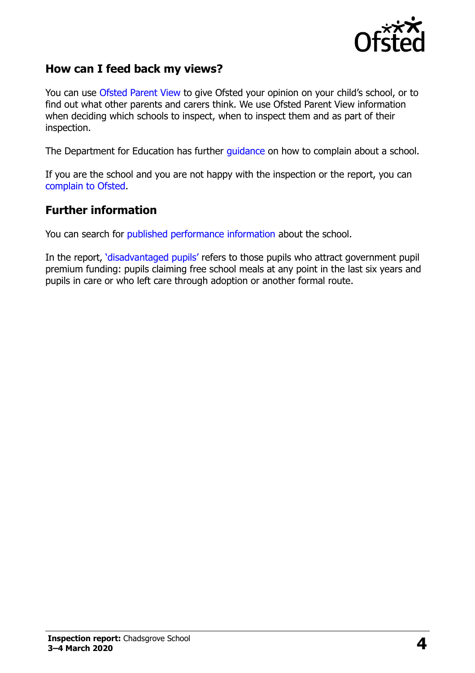

#### **How can I feed back my views?**

You can use [Ofsted Parent View](https://parentview.ofsted.gov.uk/) to give Ofsted your opinion on your child's school, or to find out what other parents and carers think. We use Ofsted Parent View information when deciding which schools to inspect, when to inspect them and as part of their inspection.

The Department for Education has further [guidance](http://www.gov.uk/complain-about-school) on how to complain about a school.

If you are the school and you are not happy with the inspection or the report, you can [complain to Ofsted.](https://www.gov.uk/complain-ofsted-report)

#### **Further information**

You can search for [published performance information](http://www.compare-school-performance.service.gov.uk/) about the school.

In the report, '[disadvantaged pupils](http://www.gov.uk/guidance/pupil-premium-information-for-schools-and-alternative-provision-settings)' refers to those pupils who attract government pupil premium funding: pupils claiming free school meals at any point in the last six years and pupils in care or who left care through adoption or another formal route.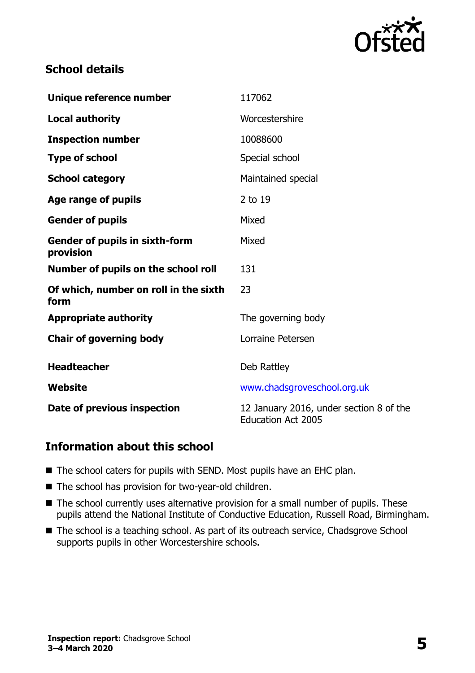

### **School details**

| Unique reference number                            | 117062                                                               |
|----------------------------------------------------|----------------------------------------------------------------------|
| <b>Local authority</b>                             | Worcestershire                                                       |
| <b>Inspection number</b>                           | 10088600                                                             |
| <b>Type of school</b>                              | Special school                                                       |
| <b>School category</b>                             | Maintained special                                                   |
| Age range of pupils                                | 2 to 19                                                              |
| <b>Gender of pupils</b>                            | Mixed                                                                |
| <b>Gender of pupils in sixth-form</b><br>provision | Mixed                                                                |
| Number of pupils on the school roll                | 131                                                                  |
| Of which, number on roll in the sixth<br>form      | 23                                                                   |
| <b>Appropriate authority</b>                       | The governing body                                                   |
| <b>Chair of governing body</b>                     | Lorraine Petersen                                                    |
| <b>Headteacher</b>                                 | Deb Rattley                                                          |
| Website                                            | www.chadsgroveschool.org.uk                                          |
| Date of previous inspection                        | 12 January 2016, under section 8 of the<br><b>Education Act 2005</b> |

#### **Information about this school**

- The school caters for pupils with SEND. Most pupils have an EHC plan.
- The school has provision for two-year-old children.
- The school currently uses alternative provision for a small number of pupils. These pupils attend the National Institute of Conductive Education, Russell Road, Birmingham.
- The school is a teaching school. As part of its outreach service, Chadsgrove School supports pupils in other Worcestershire schools.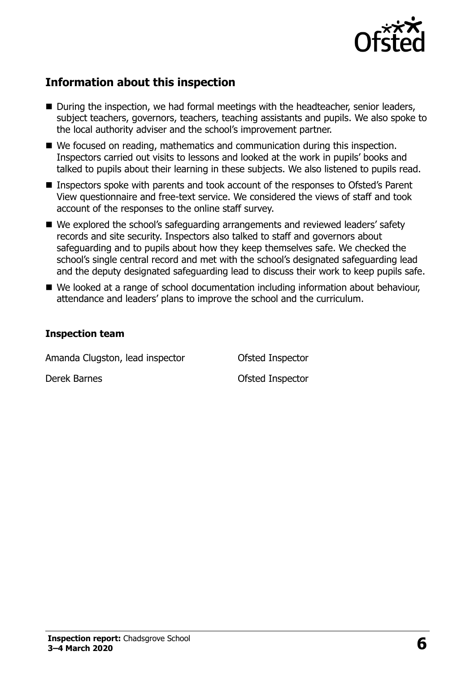

# **Information about this inspection**

- During the inspection, we had formal meetings with the headteacher, senior leaders, subject teachers, governors, teachers, teaching assistants and pupils. We also spoke to the local authority adviser and the school's improvement partner.
- We focused on reading, mathematics and communication during this inspection. Inspectors carried out visits to lessons and looked at the work in pupils' books and talked to pupils about their learning in these subjects. We also listened to pupils read.
- Inspectors spoke with parents and took account of the responses to Ofsted's Parent View questionnaire and free-text service. We considered the views of staff and took account of the responses to the online staff survey.
- We explored the school's safeguarding arrangements and reviewed leaders' safety records and site security. Inspectors also talked to staff and governors about safeguarding and to pupils about how they keep themselves safe. We checked the school's single central record and met with the school's designated safeguarding lead and the deputy designated safeguarding lead to discuss their work to keep pupils safe.
- We looked at a range of school documentation including information about behaviour, attendance and leaders' plans to improve the school and the curriculum.

#### **Inspection team**

Amanda Clugston, lead inspector **Ofsted Inspector** 

Derek Barnes Ofsted Inspector